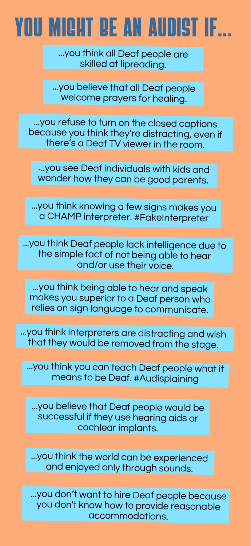## U MIGHT BE AN AUDIST IF...

...you think all Deaf people are skilled at lipreading.

...you believe that all Deaf people welcome prayers for healing.

...you refuse to turn on the closed captions because you think they're distracting, even if there's <sup>a</sup> Deaf TV viewer in the room.

...you see Deaf individuals with kids and wonder how they can be good parents.

...you think knowing <sup>a</sup> few signs makes you <sup>a</sup> CHAMP interpreter. #FakeInterpreter

...you think Deaf people lack intelligence due to the simple fact of not being able to hear and/or use their voice.

...you think being able to hear and speak makes you superior to <sup>a</sup> Deaf person who relies on sign language to communicate.

...you think interpreters are distracting and wish that they would be removed from the stage.

...you think you can teach Deaf people what it means to be Deaf. #Audisplaining

...you believe that Deaf people would be successful if they use hearing aids or cochlear implants.

...you think the world can be experienced and enjoyed only through sounds.

...you don't want to hire Deaf people because you don't know how to provide reasonable accommodations.